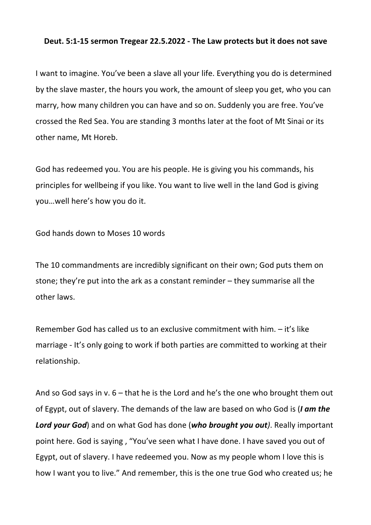## **Deut. 5:1-15 sermon Tregear 22.5.2022 - The Law protects but it does not save**

I want to imagine. You've been a slave all your life. Everything you do is determined by the slave master, the hours you work, the amount of sleep you get, who you can marry, how many children you can have and so on. Suddenly you are free. You've crossed the Red Sea. You are standing 3 months later at the foot of Mt Sinai or its other name, Mt Horeb.

God has redeemed you. You are his people. He is giving you his commands, his principles for wellbeing if you like. You want to live well in the land God is giving you…well here's how you do it.

God hands down to Moses 10 words

The 10 commandments are incredibly significant on their own; God puts them on stone; they're put into the ark as a constant reminder – they summarise all the other laws.

Remember God has called us to an exclusive commitment with him. – it's like marriage - It's only going to work if both parties are committed to working at their relationship.

And so God says in v.  $6$  – that he is the Lord and he's the one who brought them out of Egypt, out of slavery. The demands of the law are based on who God is (*I am the Lord your God*) and on what God has done (*who brought you out)*. Really important point here. God is saying , "You've seen what I have done. I have saved you out of Egypt, out of slavery. I have redeemed you. Now as my people whom I love this is how I want you to live." And remember, this is the one true God who created us; he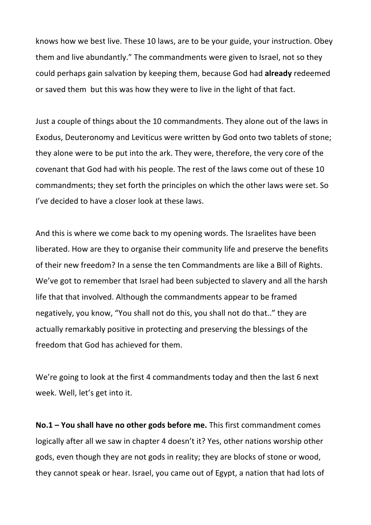knows how we best live. These 10 laws, are to be your guide, your instruction. Obey them and live abundantly." The commandments were given to Israel, not so they could perhaps gain salvation by keeping them, because God had **already** redeemed or saved them but this was how they were to live in the light of that fact.

Just a couple of things about the 10 commandments. They alone out of the laws in Exodus, Deuteronomy and Leviticus were written by God onto two tablets of stone; they alone were to be put into the ark. They were, therefore, the very core of the covenant that God had with his people. The rest of the laws come out of these 10 commandments; they set forth the principles on which the other laws were set. So I've decided to have a closer look at these laws.

And this is where we come back to my opening words. The Israelites have been liberated. How are they to organise their community life and preserve the benefits of their new freedom? In a sense the ten Commandments are like a Bill of Rights. We've got to remember that Israel had been subjected to slavery and all the harsh life that that involved. Although the commandments appear to be framed negatively, you know, "You shall not do this, you shall not do that.." they are actually remarkably positive in protecting and preserving the blessings of the freedom that God has achieved for them.

We're going to look at the first 4 commandments today and then the last 6 next week. Well, let's get into it.

**No.1 – You shall have no other gods before me.** This first commandment comes logically after all we saw in chapter 4 doesn't it? Yes, other nations worship other gods, even though they are not gods in reality; they are blocks of stone or wood, they cannot speak or hear. Israel, you came out of Egypt, a nation that had lots of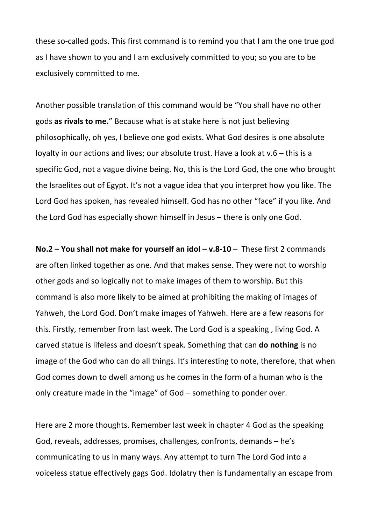these so-called gods. This first command is to remind you that I am the one true god as I have shown to you and I am exclusively committed to you; so you are to be exclusively committed to me.

Another possible translation of this command would be "You shall have no other gods **as rivals to me.**" Because what is at stake here is not just believing philosophically, oh yes, I believe one god exists. What God desires is one absolute loyalty in our actions and lives; our absolute trust. Have a look at v.6 – this is a specific God, not a vague divine being. No, this is the Lord God, the one who brought the Israelites out of Egypt. It's not a vague idea that you interpret how you like. The Lord God has spoken, has revealed himself. God has no other "face" if you like. And the Lord God has especially shown himself in Jesus – there is only one God.

**No.2 – You shall not make for yourself an idol – v.8-10** – These first 2 commands are often linked together as one. And that makes sense. They were not to worship other gods and so logically not to make images of them to worship. But this command is also more likely to be aimed at prohibiting the making of images of Yahweh, the Lord God. Don't make images of Yahweh. Here are a few reasons for this. Firstly, remember from last week. The Lord God is a speaking , living God. A carved statue is lifeless and doesn't speak. Something that can **do nothing** is no image of the God who can do all things. It's interesting to note, therefore, that when God comes down to dwell among us he comes in the form of a human who is the only creature made in the "image" of God – something to ponder over.

Here are 2 more thoughts. Remember last week in chapter 4 God as the speaking God, reveals, addresses, promises, challenges, confronts, demands – he's communicating to us in many ways. Any attempt to turn The Lord God into a voiceless statue effectively gags God. Idolatry then is fundamentally an escape from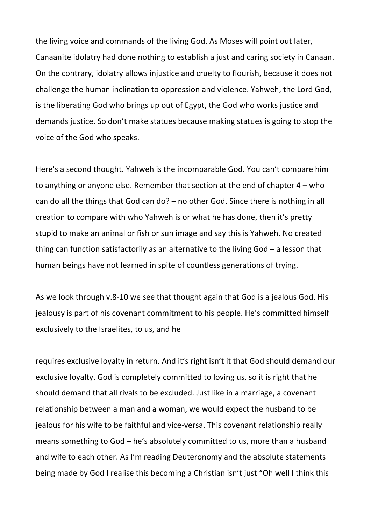the living voice and commands of the living God. As Moses will point out later, Canaanite idolatry had done nothing to establish a just and caring society in Canaan. On the contrary, idolatry allows injustice and cruelty to flourish, because it does not challenge the human inclination to oppression and violence. Yahweh, the Lord God, is the liberating God who brings up out of Egypt, the God who works justice and demands justice. So don't make statues because making statues is going to stop the voice of the God who speaks.

Here's a second thought. Yahweh is the incomparable God. You can't compare him to anything or anyone else. Remember that section at the end of chapter 4 – who can do all the things that God can do? – no other God. Since there is nothing in all creation to compare with who Yahweh is or what he has done, then it's pretty stupid to make an animal or fish or sun image and say this is Yahweh. No created thing can function satisfactorily as an alternative to the living God – a lesson that human beings have not learned in spite of countless generations of trying.

As we look through v.8-10 we see that thought again that God is a jealous God. His jealousy is part of his covenant commitment to his people. He's committed himself exclusively to the Israelites, to us, and he

requires exclusive loyalty in return. And it's right isn't it that God should demand our exclusive loyalty. God is completely committed to loving us, so it is right that he should demand that all rivals to be excluded. Just like in a marriage, a covenant relationship between a man and a woman, we would expect the husband to be jealous for his wife to be faithful and vice-versa. This covenant relationship really means something to God – he's absolutely committed to us, more than a husband and wife to each other. As I'm reading Deuteronomy and the absolute statements being made by God I realise this becoming a Christian isn't just "Oh well I think this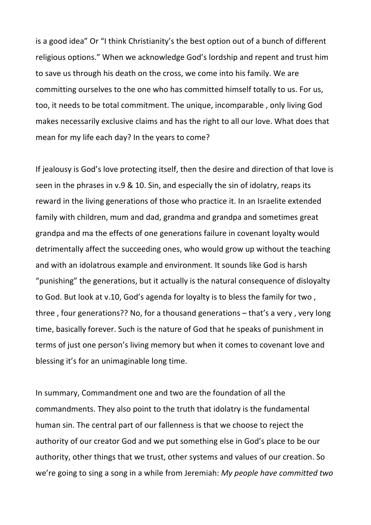is a good idea" Or "I think Christianity's the best option out of a bunch of different religious options." When we acknowledge God's lordship and repent and trust him to save us through his death on the cross, we come into his family. We are committing ourselves to the one who has committed himself totally to us. For us, too, it needs to be total commitment. The unique, incomparable , only living God makes necessarily exclusive claims and has the right to all our love. What does that mean for my life each day? In the years to come?

If jealousy is God's love protecting itself, then the desire and direction of that love is seen in the phrases in v.9 & 10. Sin, and especially the sin of idolatry, reaps its reward in the living generations of those who practice it. In an Israelite extended family with children, mum and dad, grandma and grandpa and sometimes great grandpa and ma the effects of one generations failure in covenant loyalty would detrimentally affect the succeeding ones, who would grow up without the teaching and with an idolatrous example and environment. It sounds like God is harsh "punishing" the generations, but it actually is the natural consequence of disloyalty to God. But look at v.10, God's agenda for loyalty is to bless the family for two , three , four generations?? No, for a thousand generations – that's a very , very long time, basically forever. Such is the nature of God that he speaks of punishment in terms of just one person's living memory but when it comes to covenant love and blessing it's for an unimaginable long time.

In summary, Commandment one and two are the foundation of all the commandments. They also point to the truth that idolatry is the fundamental human sin. The central part of our fallenness is that we choose to reject the authority of our creator God and we put something else in God's place to be our authority, other things that we trust, other systems and values of our creation. So we're going to sing a song in a while from Jeremiah: *My people have committed two*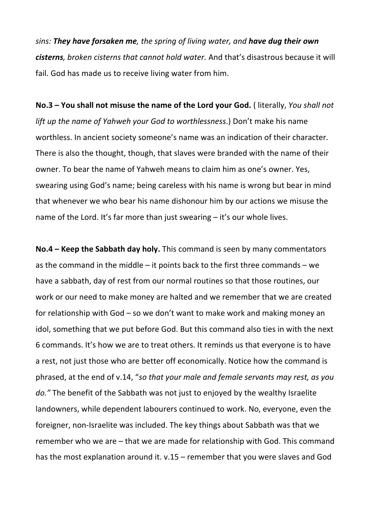*sins: They have forsaken me, the spring of living water, and have dug their own cisterns, broken cisterns that cannot hold water.* And that's disastrous because it will fail. God has made us to receive living water from him.

**No.3 – You shall not misuse the name of the Lord your God.** ( literally, *You shall not lift up the name of Yahweh your God to worthlessness*.) Don't make his name worthless. In ancient society someone's name was an indication of their character. There is also the thought, though, that slaves were branded with the name of their owner. To bear the name of Yahweh means to claim him as one's owner. Yes, swearing using God's name; being careless with his name is wrong but bear in mind that whenever we who bear his name dishonour him by our actions we misuse the name of the Lord. It's far more than just swearing – it's our whole lives.

**No.4 – Keep the Sabbath day holy.** This command is seen by many commentators as the command in the middle – it points back to the first three commands – we have a sabbath, day of rest from our normal routines so that those routines, our work or our need to make money are halted and we remember that we are created for relationship with God – so we don't want to make work and making money an idol, something that we put before God. But this command also ties in with the next 6 commands. It's how we are to treat others. It reminds us that everyone is to have a rest, not just those who are better off economically. Notice how the command is phrased, at the end of v.14, "*so that your male and female servants may rest, as you do."* The benefit of the Sabbath was not just to enjoyed by the wealthy Israelite landowners, while dependent labourers continued to work. No, everyone, even the foreigner, non-Israelite was included. The key things about Sabbath was that we remember who we are – that we are made for relationship with God. This command has the most explanation around it. v.15 – remember that you were slaves and God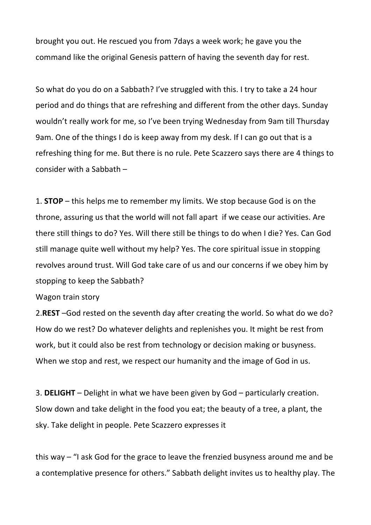brought you out. He rescued you from 7days a week work; he gave you the command like the original Genesis pattern of having the seventh day for rest.

So what do you do on a Sabbath? I've struggled with this. I try to take a 24 hour period and do things that are refreshing and different from the other days. Sunday wouldn't really work for me, so I've been trying Wednesday from 9am till Thursday 9am. One of the things I do is keep away from my desk. If I can go out that is a refreshing thing for me. But there is no rule. Pete Scazzero says there are 4 things to consider with a Sabbath –

1. **STOP** – this helps me to remember my limits. We stop because God is on the throne, assuring us that the world will not fall apart if we cease our activities. Are there still things to do? Yes. Will there still be things to do when I die? Yes. Can God still manage quite well without my help? Yes. The core spiritual issue in stopping revolves around trust. Will God take care of us and our concerns if we obey him by stopping to keep the Sabbath?

Wagon train story

2.**REST** –God rested on the seventh day after creating the world. So what do we do? How do we rest? Do whatever delights and replenishes you. It might be rest from work, but it could also be rest from technology or decision making or busyness. When we stop and rest, we respect our humanity and the image of God in us.

3. **DELIGHT** – Delight in what we have been given by God – particularly creation. Slow down and take delight in the food you eat; the beauty of a tree, a plant, the sky. Take delight in people. Pete Scazzero expresses it

this way – "I ask God for the grace to leave the frenzied busyness around me and be a contemplative presence for others." Sabbath delight invites us to healthy play. The